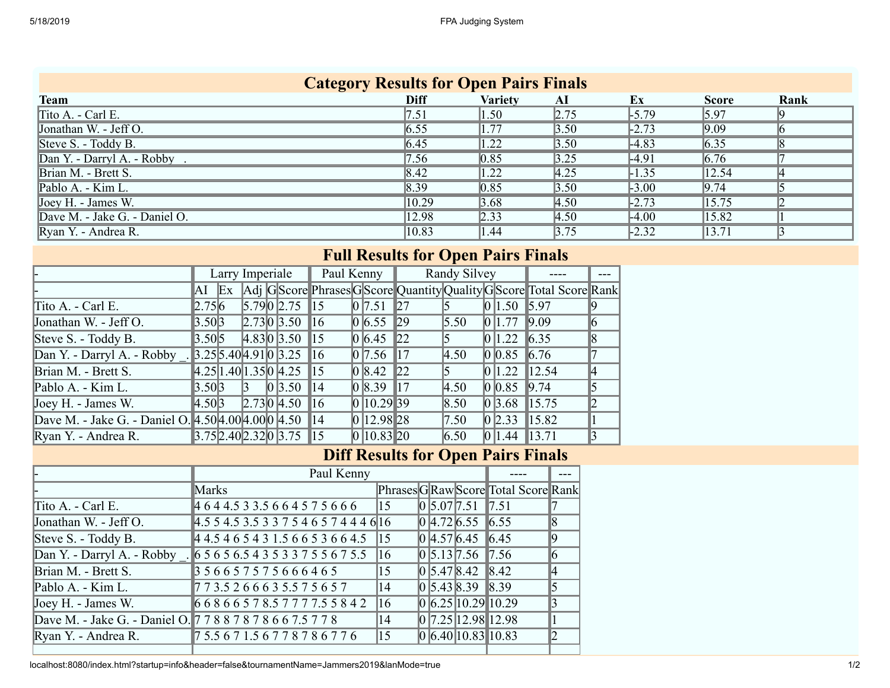| <b>Category Results for Open Pairs Finals</b> |                    |                    |                   |                    |              |      |  |  |  |  |  |  |
|-----------------------------------------------|--------------------|--------------------|-------------------|--------------------|--------------|------|--|--|--|--|--|--|
| <b>Team</b>                                   | Diff               | <b>Variety</b>     | AI                | Ex                 | <b>Score</b> | Rank |  |  |  |  |  |  |
| Tito A. - Carl E.                             | 7.51               | 1.50               | 2.75              | $-5.79$            | 5.97         |      |  |  |  |  |  |  |
| Jonathan W. - Jeff O.                         | 6.55               | 1.77               | 3.50              | $\sqrt{2.73}$      | 9.09         |      |  |  |  |  |  |  |
| Steve S. - Toddy B.                           | 6.45               | 1.22               | 3.50              | $-4.83$            | 6.35         |      |  |  |  |  |  |  |
| Dan Y. - Darryl A. - Robby.                   | 7.56               | $\vert 0.85 \vert$ | 3.25              | 4.91               | 6.76         |      |  |  |  |  |  |  |
| Brian M. - Brett S.                           | $\vert 8.42 \vert$ | 1.22               | 4.25              | 1.35               | 12.54        | K    |  |  |  |  |  |  |
| Pablo A. - Kim L.                             | 8.39               | $\vert 0.85 \vert$ | $\overline{3.50}$ | $\vert 3.00 \vert$ | 9.74         |      |  |  |  |  |  |  |
| Joey H. - James W.                            | 10.29              | 3.68               | $\overline{4.50}$ | $\sqrt{2.73}$      | 15.75        |      |  |  |  |  |  |  |
| Dave M. - Jake G. - Daniel O.                 | 12.98              | 2.33               | $\overline{4.50}$ | $\vert$ -4.00      | 15.82        |      |  |  |  |  |  |  |
| Ryan Y. - Andrea R.                           | $ 10.83\rangle$    | 1.44               | 3.75              | $\vert 2.32 \vert$ | 13.71        |      |  |  |  |  |  |  |

## **Full Results for Open Pairs Finals**

|                                                         |                              | Larry Imperiale |              |  |                                                                                                  | Paul Kenny $\ $ |                  |                | Randy Silvey       |                     |                                                                    |  |
|---------------------------------------------------------|------------------------------|-----------------|--------------|--|--------------------------------------------------------------------------------------------------|-----------------|------------------|----------------|--------------------|---------------------|--------------------------------------------------------------------|--|
|                                                         | $\ $ AI $\ $ Ex              |                 |              |  |                                                                                                  |                 |                  |                |                    |                     | Adj GScore Phrases GScore Quantity Quality GScore Total Score Rank |  |
| Tito A. - Carl E.                                       | $\ 2.75\ 6$                  |                 |              |  | $\vert 5.79 \vert 0 \vert 2.75 \vert 15 \vert$                                                   |                 | 0 7.51           | $\mathbb{Z}$   |                    | $\ 0\ 1.50\ 5.97$   |                                                                    |  |
| Jonathan W. - Jeff O.                                   | 3.50 3                       |                 |              |  | 2.73 0 3.50 16                                                                                   |                 | $\ 0\ $ 6.55 29  |                | $\vert 5.50 \vert$ | $\ 0\ 1.77\ 9.09\ $ |                                                                    |  |
| Steve S. - Toddy B.                                     | 3.50 5                       |                 |              |  | 4.83 0 3.50 15                                                                                   |                 | $\ 0\ $ 6.45 22  |                | $\vert 5 \vert$    | 0 1.22              | $\big  6.35 \big $                                                 |  |
| Dan Y. - Darryl A. - Robby . $3.25 5.40 4.91 0 3.25$ 16 |                              |                 |              |  |                                                                                                  |                 | 0 7.56           | $\parallel$ 17 | 4.50               | 0 0.85              | $\vert 6.76 \vert$                                                 |  |
| Brian M. - Brett S.                                     |                              |                 |              |  | $\parallel$ 4.25 1.40 1.35 0 4.25 15                                                             |                 | $\ 0\ 8.42\ 22$  |                | 15                 | $\ 0\ 1.22\ 12.54$  |                                                                    |  |
| Pablo A. - Kim L.                                       | $\parallel 3.50 \parallel 3$ |                 | $\mathbb{R}$ |  | 0 3.50                                                                                           | $\parallel$ 14  | 0 8.39           | $\parallel$ 17 | 4.50               | 0 0.85              | $\vert 9.74 \vert$                                                 |  |
| Joey H. - James W.                                      | $\ 4.50\ $ 3                 |                 |              |  | 2.73 0 4.50 16                                                                                   |                 | 0 10.29 39       |                | $\vert 8.50 \vert$ | 0 3.68              | $\parallel$ 15.75                                                  |  |
| Dave M. - Jake G. - Daniel O. 4.50 4.00 4.00 0 4.50 14  |                              |                 |              |  |                                                                                                  |                 | $\ 0\ 12.98\ 28$ |                | $\vert 7.50 \vert$ | 0 2.33              | $\parallel$ 15.82                                                  |  |
| Ryan Y. - Andrea R.                                     |                              |                 |              |  | $\parallel$ 3.75 $\parallel$ 2.40 $\parallel$ 2.32 $\parallel$ 0 $\parallel$ 3.75 $\parallel$ 15 |                 | $\ 0\ 10.83\ 20$ |                | 6.50               | $\ 0\ 1.44\ 13.71$  |                                                                    |  |

## **Diff Results for Open Pairs Finals**

|                                                             | Paul Kenny                                                       |              |                                            |                                      |    |
|-------------------------------------------------------------|------------------------------------------------------------------|--------------|--------------------------------------------|--------------------------------------|----|
|                                                             | Marks                                                            |              |                                            | Phrases G Raw Score Total Score Rank |    |
| Tito A. - Carl E.                                           | 4644.533.5664575666                                              | $\vert$ 15   | $\ 0\ 5.07\ 7.51\ 7.51$                    |                                      |    |
| Jonathan W. - Jeff O.                                       | $4.5$ 5 4.5 3.5 3 3 7 5 4 6 5 7 4 4 4 6 16                       |              | 0 4.72 6.55                                | $\ 6.55\ $                           | 18 |
| Steve S. - Toddy B.                                         | 4 4.5 4 6 5 4 3 1.5 6 6 5 3 6 6 4.5                              | $\vert$ 15   | 0 4.57 6.45                                | $\ 6.45\ $                           |    |
|                                                             | Dan Y. - Darryl A. - Robby . 6 5 6 5 6 5 4 3 5 3 3 7 5 5 6 7 5 5 | $\vert$ 16   | $\big  0 \big  5.13 \big  7.56 \big  7.56$ |                                      |    |
| Brian M. - Brett S.                                         | 356657575666465                                                  | $\vert$ 15   | $\vert 0 \vert 5.47 \vert 8.42 \vert$      | $\parallel$ 8.42                     | ∥4 |
| Pablo A. - Kim L.                                           | $\frac{1}{2}$ 7 3.5 2 6 6 6 3 5.5 7 5 6 5 7                      | 14           | $\ 0\ $ 5.43 8.39 8.39                     |                                      |    |
| Joey H. - James W.                                          | 668665785777755842                                               | $ 16\rangle$ | 0 6.25 10.29 10.29                         |                                      |    |
| Dave M. - Jake G. - Daniel O. 7 7 8 8 7 8 7 8 6 6 7.5 7 7 8 |                                                                  | 14           | 0 7.25 12.98 12.98                         |                                      |    |
| Ryan Y. - Andrea R.                                         | 75.5671.56778786776                                              | $\vert$ 15   | $ 0 $ 6.40   10.83   10.83                 |                                      |    |
|                                                             |                                                                  |              |                                            |                                      |    |

localhost:8080/index.html?startup=info&header=false&tournamentName=Jammers2019&lanMode=true 1/2